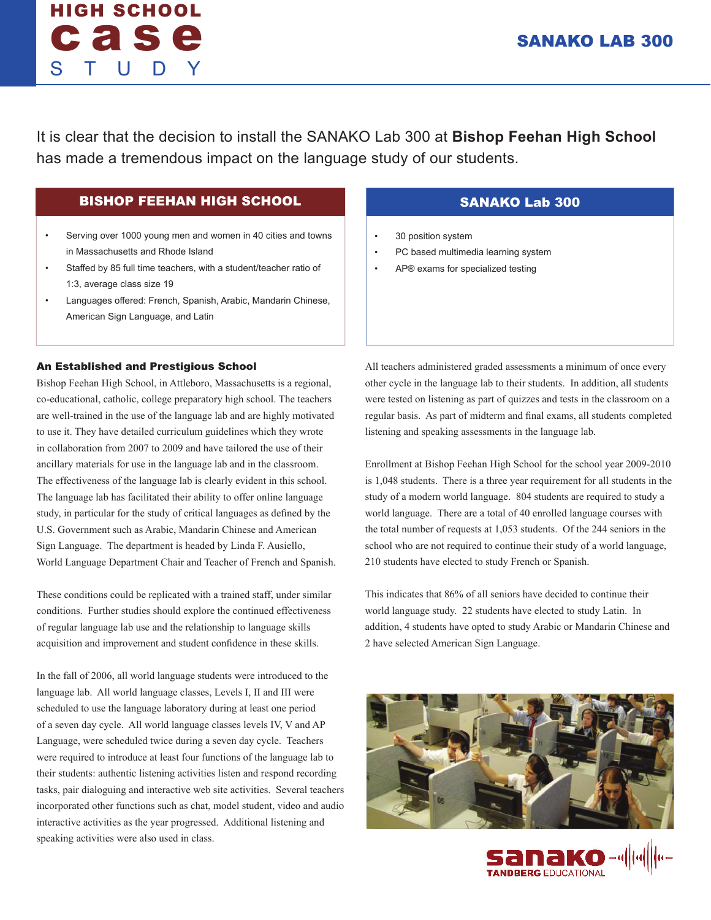# HIGH SCHOOL case STUDY

It is clear that the decision to install the SANAKO Lab 300 at **Bishop Feehan High School**  has made a tremendous impact on the language study of our students.

## BISHOP FEEHAN HIGH SCHOOL

- Serving over 1000 young men and women in 40 cities and towns in Massachusetts and Rhode Island
- Staffed by 85 full time teachers, with a student/teacher ratio of 1:3, average class size 19
- Languages offered: French, Spanish, Arabic, Mandarin Chinese, American Sign Language, and Latin

### An Established and Prestigious School

Bishop Feehan High School, in Attleboro, Massachusetts is a regional, co-educational, catholic, college preparatory high school. The teachers are well-trained in the use of the language lab and are highly motivated to use it. They have detailed curriculum guidelines which they wrote in collaboration from 2007 to 2009 and have tailored the use of their ancillary materials for use in the language lab and in the classroom. The effectiveness of the language lab is clearly evident in this school. The language lab has facilitated their ability to offer online language study, in particular for the study of critical languages as defined by the U.S. Government such as Arabic, Mandarin Chinese and American Sign Language. The department is headed by Linda F. Ausiello, World Language Department Chair and Teacher of French and Spanish.

These conditions could be replicated with a trained staff, under similar conditions. Further studies should explore the continued effectiveness of regular language lab use and the relationship to language skills acquisition and improvement and student confidence in these skills.

In the fall of 2006, all world language students were introduced to the language lab. All world language classes, Levels I, II and III were scheduled to use the language laboratory during at least one period of a seven day cycle. All world language classes levels IV, V and AP Language, were scheduled twice during a seven day cycle. Teachers were required to introduce at least four functions of the language lab to their students: authentic listening activities listen and respond recording tasks, pair dialoguing and interactive web site activities. Several teachers incorporated other functions such as chat, model student, video and audio interactive activities as the year progressed. Additional listening and speaking activities were also used in class.

## SANAKO Lab 300

- 30 position system
- PC based multimedia learning system
- AP® exams for specialized testing

All teachers administered graded assessments a minimum of once every other cycle in the language lab to their students. In addition, all students were tested on listening as part of quizzes and tests in the classroom on a regular basis. As part of midterm and final exams, all students completed listening and speaking assessments in the language lab.

Enrollment at Bishop Feehan High School for the school year 2009-2010 is 1,048 students. There is a three year requirement for all students in the study of a modern world language. 804 students are required to study a world language. There are a total of 40 enrolled language courses with the total number of requests at 1,053 students. Of the 244 seniors in the school who are not required to continue their study of a world language, 210 students have elected to study French or Spanish.

This indicates that 86% of all seniors have decided to continue their world language study. 22 students have elected to study Latin. In addition, 4 students have opted to study Arabic or Mandarin Chinese and 2 have selected American Sign Language.